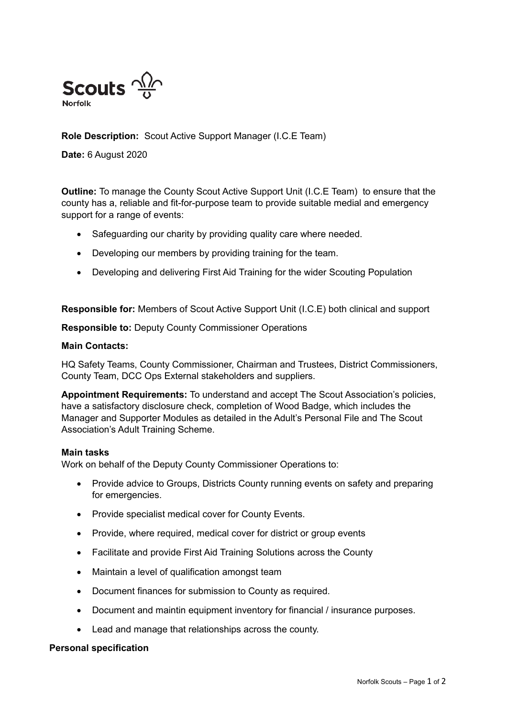

**Role Description:** Scout Active Support Manager (I.C.E Team)

**Date:** 6 August 2020

**Outline:** To manage the County Scout Active Support Unit (I.C.E Team) to ensure that the county has a, reliable and fit-for-purpose team to provide suitable medial and emergency support for a range of events:

- Safeguarding our charity by providing quality care where needed.
- Developing our members by providing training for the team.
- Developing and delivering First Aid Training for the wider Scouting Population

**Responsible for:** Members of Scout Active Support Unit (I.C.E) both clinical and support

**Responsible to:** Deputy County Commissioner Operations

## **Main Contacts:**

HQ Safety Teams, County Commissioner, Chairman and Trustees, District Commissioners, County Team, DCC Ops External stakeholders and suppliers.

**Appointment Requirements:** To understand and accept The Scout Association's policies, have a satisfactory disclosure check, completion of Wood Badge, which includes the Manager and Supporter Modules as detailed in the Adult's Personal File and The Scout Association's Adult Training Scheme.

#### **Main tasks**

Work on behalf of the Deputy County Commissioner Operations to:

- Provide advice to Groups, Districts County running events on safety and preparing for emergencies.
- Provide specialist medical cover for County Events.
- Provide, where required, medical cover for district or group events
- Facilitate and provide First Aid Training Solutions across the County
- Maintain a level of qualification amongst team
- Document finances for submission to County as required.
- Document and maintin equipment inventory for financial / insurance purposes.
- Lead and manage that relationships across the county.

# **Personal specification**